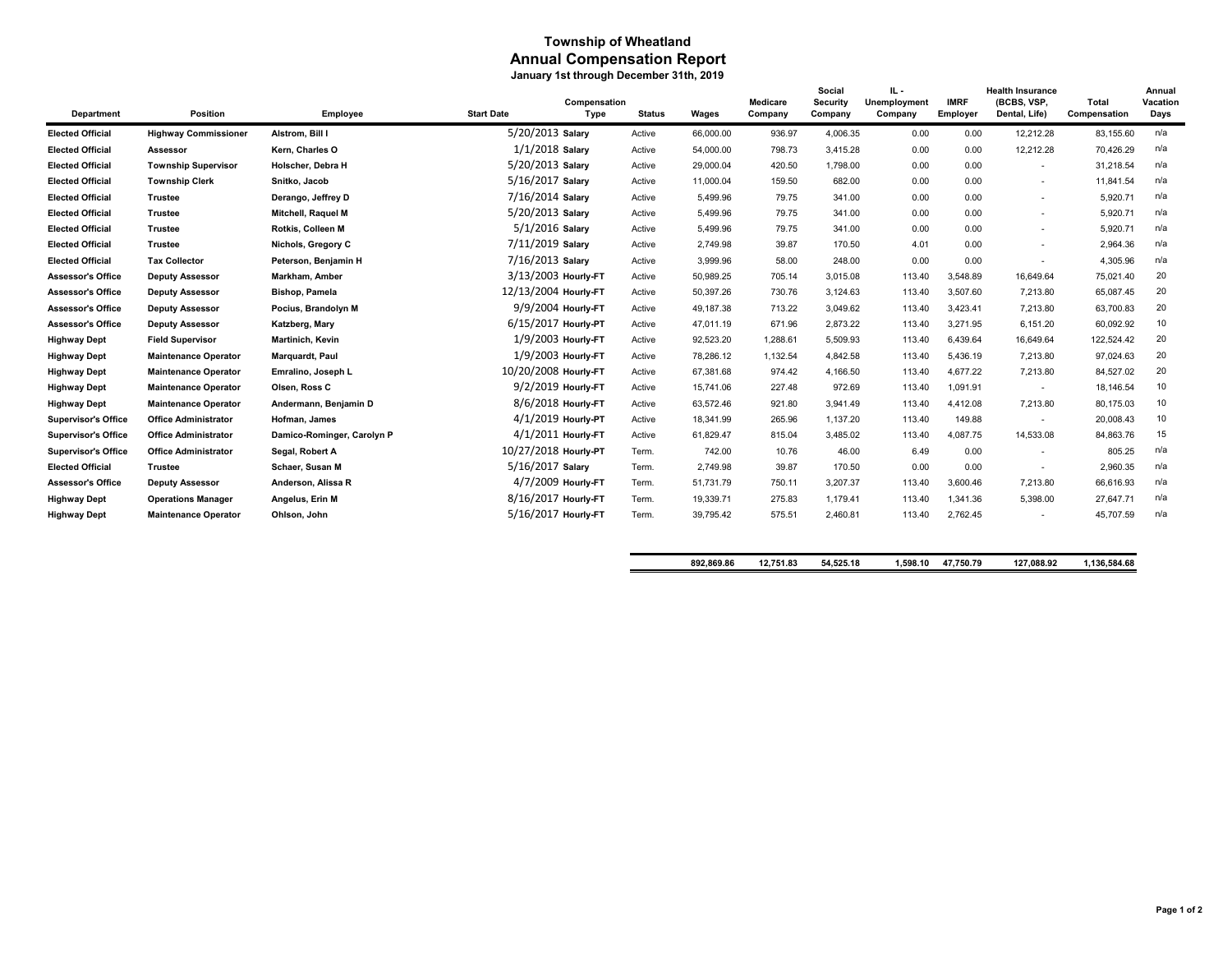## **Township of Wheatland Annual Compensation Report January 1st through December 31th, 2019**

| Department                 | Position                    | Employee                   | <b>Start Date</b>    | Compensation<br>Type | <b>Status</b> | Wages     | Medicare<br>Company | Social<br>Security<br>Company | IL -<br>Unemployment<br>Company | <b>IMRF</b><br>Employer | <b>Health Insurance</b><br>(BCBS, VSP,<br>Dental, Life) | Total<br>Compensation | Annual<br>Vacation<br>Days |
|----------------------------|-----------------------------|----------------------------|----------------------|----------------------|---------------|-----------|---------------------|-------------------------------|---------------------------------|-------------------------|---------------------------------------------------------|-----------------------|----------------------------|
| <b>Elected Official</b>    | <b>Highway Commissioner</b> | Alstrom. Bill I            | 5/20/2013 Salary     |                      | Active        | 66,000.00 | 936.97              | 4,006.35                      | 0.00                            | 0.00                    | 12,212.28                                               | 83,155.60             | n/a                        |
| <b>Elected Official</b>    | Assessor                    | Kern, Charles O            | $1/1/2018$ Salary    |                      | Active        | 54,000.00 | 798.73              | 3,415.28                      | 0.00                            | 0.00                    | 12,212.28                                               | 70,426.29             | n/a                        |
| <b>Elected Official</b>    | <b>Township Supervisor</b>  | Holscher. Debra H          | 5/20/2013 Salary     |                      | Active        | 29,000.04 | 420.50              | 1,798.00                      | 0.00                            | 0.00                    | $\overline{\phantom{a}}$                                | 31,218.54             | n/a                        |
| <b>Elected Official</b>    | <b>Township Clerk</b>       | Snitko, Jacob              | 5/16/2017 Salary     |                      | Active        | 11,000.04 | 159.50              | 682.00                        | 0.00                            | 0.00                    | $\overline{\phantom{a}}$                                | 11,841.54             | n/a                        |
| <b>Elected Official</b>    | <b>Trustee</b>              | Derango, Jeffrey D         | 7/16/2014 Salary     |                      | Active        | 5,499.96  | 79.75               | 341.00                        | 0.00                            | 0.00                    | $\overline{\phantom{a}}$                                | 5,920.71              | n/a                        |
| <b>Elected Official</b>    | <b>Trustee</b>              | Mitchell, Raquel M         | 5/20/2013 Salary     |                      | Active        | 5,499.96  | 79.75               | 341.00                        | 0.00                            | 0.00                    | $\overline{\phantom{a}}$                                | 5,920.71              | n/a                        |
| <b>Elected Official</b>    | <b>Trustee</b>              | Rotkis, Colleen M          | 5/1/2016 Salary      |                      | Active        | 5,499.96  | 79.75               | 341.00                        | 0.00                            | 0.00                    | $\overline{\phantom{a}}$                                | 5,920.71              | n/a                        |
| <b>Elected Official</b>    | <b>Trustee</b>              | Nichols, Gregory C         | 7/11/2019 Salary     |                      | Active        | 2,749.98  | 39.87               | 170.50                        | 4.01                            | 0.00                    | $\overline{\phantom{a}}$                                | 2,964.36              | n/a                        |
| <b>Elected Official</b>    | <b>Tax Collector</b>        | Peterson, Benjamin H       | 7/16/2013 Salary     |                      | Active        | 3,999.96  | 58.00               | 248.00                        | 0.00                            | 0.00                    | $\overline{\phantom{a}}$                                | 4,305.96              | n/a                        |
| <b>Assessor's Office</b>   | <b>Deputy Assessor</b>      | Markham, Amber             | 3/13/2003 Hourly-FT  |                      | Active        | 50,989.25 | 705.14              | 3,015.08                      | 113.40                          | 3,548.89                | 16,649.64                                               | 75,021.40             | 20                         |
| <b>Assessor's Office</b>   | <b>Deputy Assessor</b>      | <b>Bishop, Pamela</b>      | 12/13/2004 Hourly-FT |                      | Active        | 50.397.26 | 730.76              | 3,124.63                      | 113.40                          | 3.507.60                | 7,213.80                                                | 65,087.45             | 20                         |
| <b>Assessor's Office</b>   | <b>Deputy Assessor</b>      | Pocius, Brandolyn M        |                      | 9/9/2004 Hourly-FT   | Active        | 49.187.38 | 713.22              | 3,049.62                      | 113.40                          | 3,423.41                | 7,213.80                                                | 63,700.83             | 20                         |
| <b>Assessor's Office</b>   | <b>Deputy Assessor</b>      | Katzberg, Mary             | 6/15/2017 Hourly-PT  |                      | Active        | 47.011.19 | 671.96              | 2,873.22                      | 113.40                          | 3,271.95                | 6,151.20                                                | 60.092.92             | 10                         |
| <b>Highway Dept</b>        | <b>Field Supervisor</b>     | Martinich, Kevin           |                      | $1/9/2003$ Hourly-FT | Active        | 92,523.20 | 1,288.61            | 5,509.93                      | 113.40                          | 6,439.64                | 16,649.64                                               | 122,524.42            | 20                         |
| <b>Highway Dept</b>        | <b>Maintenance Operator</b> | Marquardt, Paul            |                      | 1/9/2003 Hourly-FT   | Active        | 78,286.12 | 1,132.54            | 4,842.58                      | 113.40                          | 5,436.19                | 7,213.80                                                | 97,024.63             | 20                         |
| <b>Highway Dept</b>        | <b>Maintenance Operator</b> | Emralino, Joseph L         | 10/20/2008 Hourly-FT |                      | Active        | 67,381.68 | 974.42              | 4,166.50                      | 113.40                          | 4,677.22                | 7,213.80                                                | 84,527.02             | 20                         |
| <b>Highway Dept</b>        | <b>Maintenance Operator</b> | Olsen, Ross C              |                      | 9/2/2019 Hourly-FT   | Active        | 15.741.06 | 227.48              | 972.69                        | 113.40                          | 1,091.91                | $\sim$                                                  | 18,146.54             | 10                         |
| <b>Highway Dept</b>        | <b>Maintenance Operator</b> | Andermann, Benjamin D      |                      | 8/6/2018 Hourly-FT   | Active        | 63,572.46 | 921.80              | 3,941.49                      | 113.40                          | 4,412.08                | 7,213.80                                                | 80,175.03             | 10                         |
| <b>Supervisor's Office</b> | <b>Office Administrator</b> | Hofman, James              |                      | 4/1/2019 Hourly-PT   | Active        | 18.341.99 | 265.96              | 1,137.20                      | 113.40                          | 149.88                  | $\sim$                                                  | 20,008.43             | 10                         |
| <b>Supervisor's Office</b> | <b>Office Administrator</b> | Damico-Rominger, Carolyn P |                      | 4/1/2011 Hourly-FT   | Active        | 61,829.47 | 815.04              | 3,485.02                      | 113.40                          | 4,087.75                | 14,533.08                                               | 84,863.76             | 15                         |
| <b>Supervisor's Office</b> | <b>Office Administrator</b> | Segal, Robert A            | 10/27/2018 Hourly-PT |                      | Term.         | 742.00    | 10.76               | 46.00                         | 6.49                            | 0.00                    | $\sim$                                                  | 805.25                | n/a                        |
| <b>Elected Official</b>    | <b>Trustee</b>              | Schaer, Susan M            | 5/16/2017 Salary     |                      | Term.         | 2,749.98  | 39.87               | 170.50                        | 0.00                            | 0.00                    | $\overline{\phantom{a}}$                                | 2,960.35              | n/a                        |
| <b>Assessor's Office</b>   | <b>Deputy Assessor</b>      | Anderson, Alissa R         |                      | 4/7/2009 Hourly-FT   | Term.         | 51,731.79 | 750.11              | 3,207.37                      | 113.40                          | 3,600.46                | 7,213.80                                                | 66,616.93             | n/a                        |
| <b>Highway Dept</b>        | <b>Operations Manager</b>   | Angelus, Erin M            | 8/16/2017 Hourly-FT  |                      | Term.         | 19,339.71 | 275.83              | 1,179.41                      | 113.40                          | 1,341.36                | 5,398.00                                                | 27,647.71             | n/a                        |
| <b>Highway Dept</b>        | <b>Maintenance Operator</b> | Ohlson, John               | 5/16/2017 Hourly-FT  |                      | Term.         | 39,795.42 | 575.51              | 2,460.81                      | 113.40                          | 2,762.45                | $\overline{\phantom{a}}$                                | 45,707.59             | n/a                        |
|                            |                             |                            |                      |                      |               |           |                     |                               |                                 |                         |                                                         |                       |                            |

| .869.86<br>892. | 12.751.83 | .18<br>54.525. | .598.1 | 750.<br>л<br>۰. | 088.92<br>. | 584.68<br>36 |
|-----------------|-----------|----------------|--------|-----------------|-------------|--------------|
|                 |           | -0-10          |        | <b>750.70</b>   | $\sim$      |              |